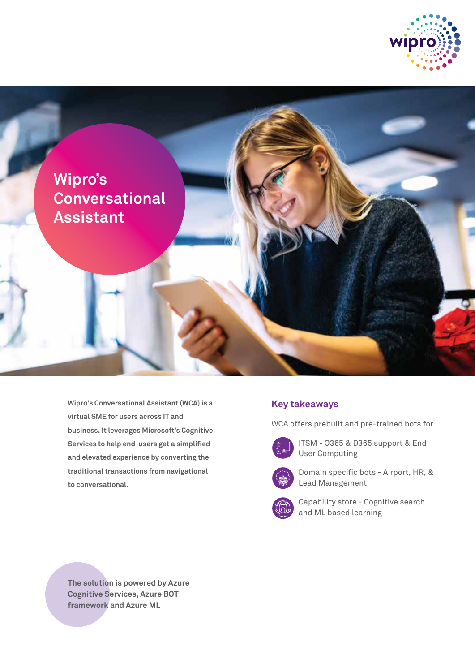



**Wipro's Conversational Assistant (WCA) is a virtual SME for users across IT and business. It leverages Microsoft's Cognitive Services to help end-users get a simplified and elevated experience by converting the traditional transactions from navigational to conversational.** 

## **Key takeaways**

WCA offers prebuilt and pre-trained bots for



 ITSM - O365 & D365 support & End User Computing



 Domain specific bots - Airport, HR, & Lead Management



 Capability store - Cognitive search and ML based learning

**The solution is powered by Azure Cognitive Services, Azure BOT framework and Azure ML**